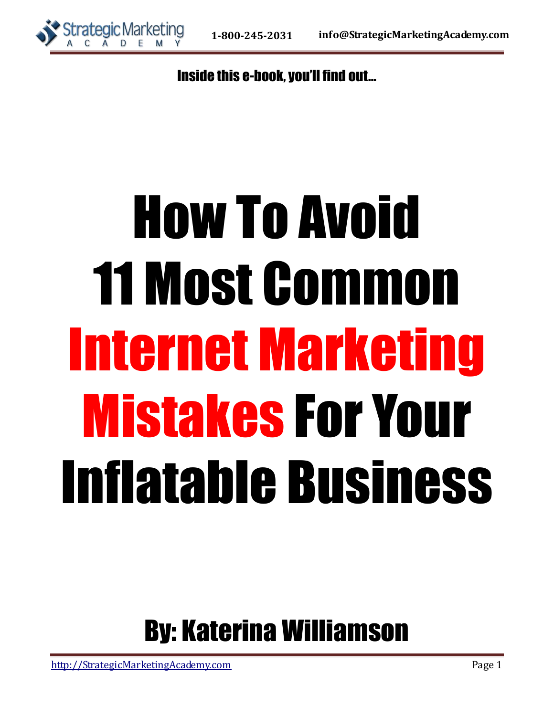

Inside this e-book, you'll find out...

# How To Avoid 11 Most Common Internet Marketing Mistakes For Your Inflatable Business

## By: Katerina Williamson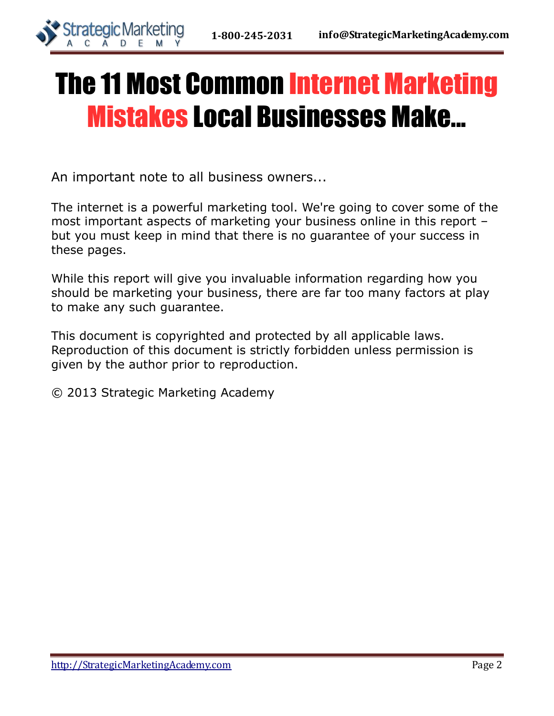

# The 11 Most Common Internet Marketing Mistakes Local Businesses Make...

An important note to all business owners...

The internet is a powerful marketing tool. We're going to cover some of the most important aspects of marketing your business online in this report – but you must keep in mind that there is no guarantee of your success in these pages.

While this report will give you invaluable information regarding how you should be marketing your business, there are far too many factors at play to make any such guarantee.

This document is copyrighted and protected by all applicable laws. Reproduction of this document is strictly forbidden unless permission is given by the author prior to reproduction.

© 2013 Strategic Marketing Academy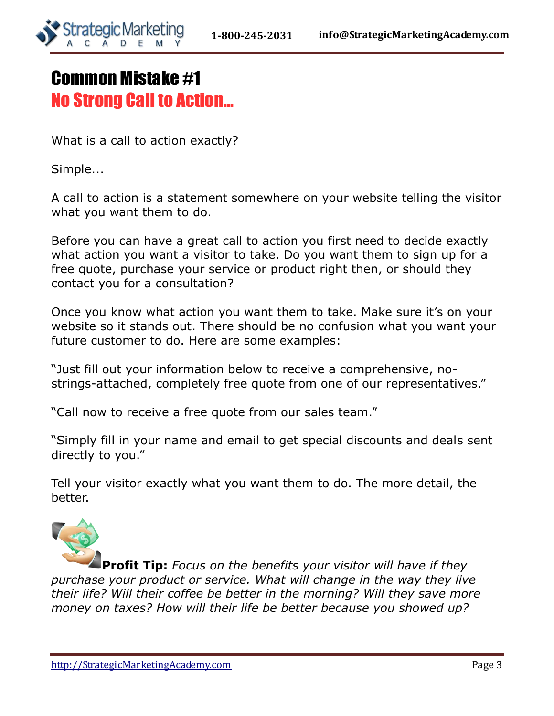

## Common Mistake #1 No Strong Call to Action...

What is a call to action exactly?

Simple...

A call to action is a statement somewhere on your website telling the visitor what you want them to do.

Before you can have a great call to action you first need to decide exactly what action you want a visitor to take. Do you want them to sign up for a free quote, purchase your service or product right then, or should they contact you for a consultation?

Once you know what action you want them to take. Make sure it's on your website so it stands out. There should be no confusion what you want your future customer to do. Here are some examples:

"Just fill out your information below to receive a comprehensive, nostrings-attached, completely free quote from one of our representatives."

"Call now to receive a free quote from our sales team."

"Simply fill in your name and email to get special discounts and deals sent directly to you."

Tell your visitor exactly what you want them to do. The more detail, the better.



**Profit Tip:** *Focus on the benefits your visitor will have if they purchase your product or service. What will change in the way they live their life? Will their coffee be better in the morning? Will they save more money on taxes? How will their life be better because you showed up?*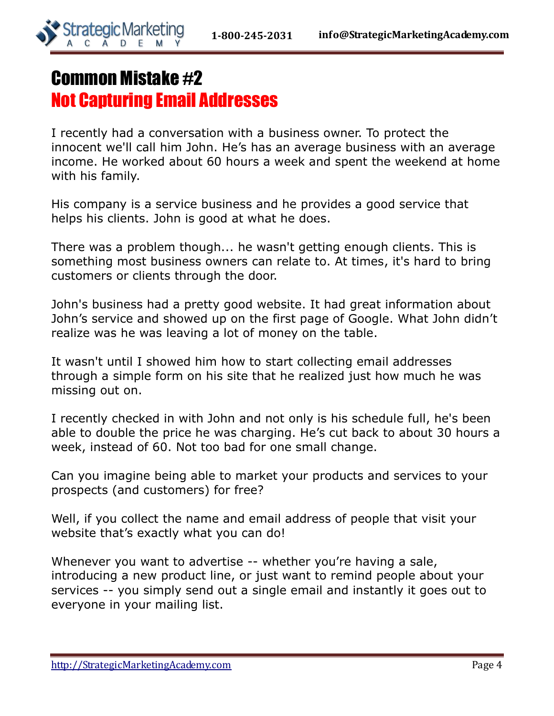

## Common Mistake #2 Not Capturing Email Addresses

I recently had a conversation with a business owner. To protect the innocent we'll call him John. He's has an average business with an average income. He worked about 60 hours a week and spent the weekend at home with his family.

His company is a service business and he provides a good service that helps his clients. John is good at what he does.

There was a problem though... he wasn't getting enough clients. This is something most business owners can relate to. At times, it's hard to bring customers or clients through the door.

John's business had a pretty good website. It had great information about John's service and showed up on the first page of Google. What John didn't realize was he was leaving a lot of money on the table.

It wasn't until I showed him how to start collecting email addresses through a simple form on his site that he realized just how much he was missing out on.

I recently checked in with John and not only is his schedule full, he's been able to double the price he was charging. He's cut back to about 30 hours a week, instead of 60. Not too bad for one small change.

Can you imagine being able to market your products and services to your prospects (and customers) for free?

Well, if you collect the name and email address of people that visit your website that's exactly what you can do!

Whenever you want to advertise -- whether you're having a sale, introducing a new product line, or just want to remind people about your services -- you simply send out a single email and instantly it goes out to everyone in your mailing list.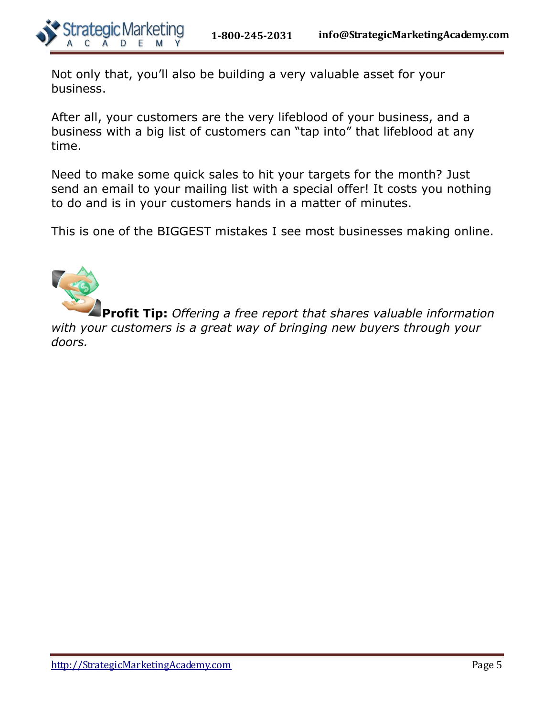

Not only that, you'll also be building a very valuable asset for your business.

After all, your customers are the very lifeblood of your business, and a business with a big list of customers can "tap into" that lifeblood at any time.

Need to make some quick sales to hit your targets for the month? Just send an email to your mailing list with a special offer! It costs you nothing to do and is in your customers hands in a matter of minutes.

This is one of the BIGGEST mistakes I see most businesses making online.



**Profit Tip:** *Offering a free report that shares valuable information with your customers is a great way of bringing new buyers through your doors.*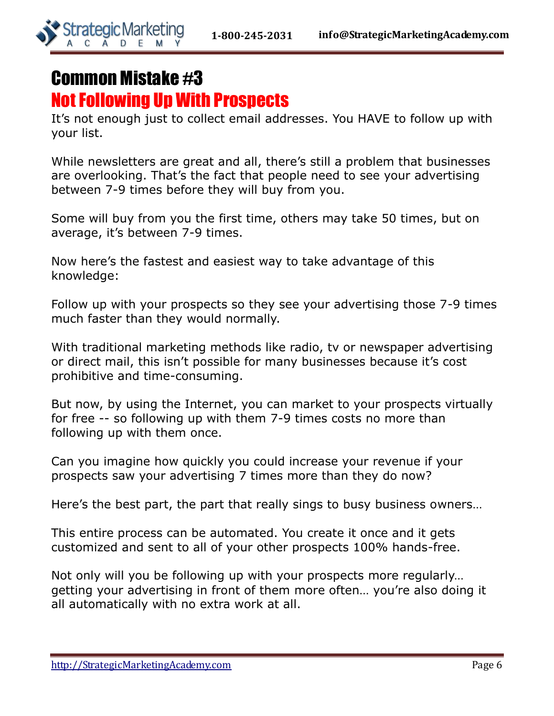

## Common Mistake #3 Not Following Up With Prospects

It's not enough just to collect email addresses. You HAVE to follow up with your list.

While newsletters are great and all, there's still a problem that businesses are overlooking. That's the fact that people need to see your advertising between 7-9 times before they will buy from you.

Some will buy from you the first time, others may take 50 times, but on average, it's between 7-9 times.

Now here's the fastest and easiest way to take advantage of this knowledge:

Follow up with your prospects so they see your advertising those 7-9 times much faster than they would normally.

With traditional marketing methods like radio, tv or newspaper advertising or direct mail, this isn't possible for many businesses because it's cost prohibitive and time-consuming.

But now, by using the Internet, you can market to your prospects virtually for free -- so following up with them 7-9 times costs no more than following up with them once.

Can you imagine how quickly you could increase your revenue if your prospects saw your advertising 7 times more than they do now?

Here's the best part, the part that really sings to busy business owners…

This entire process can be automated. You create it once and it gets customized and sent to all of your other prospects 100% hands-free.

Not only will you be following up with your prospects more regularly… getting your advertising in front of them more often… you're also doing it all automatically with no extra work at all.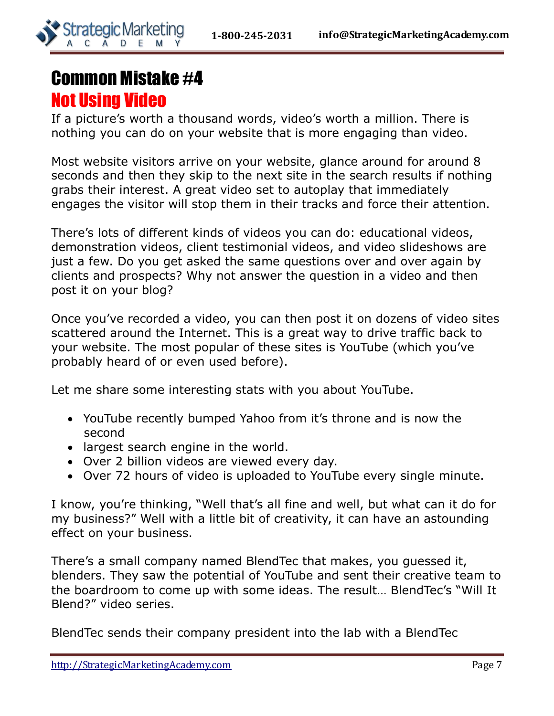

## Common Mistake #4 Not Using Video

If a picture's worth a thousand words, video's worth a million. There is nothing you can do on your website that is more engaging than video.

Most website visitors arrive on your website, glance around for around 8 seconds and then they skip to the next site in the search results if nothing grabs their interest. A great video set to autoplay that immediately engages the visitor will stop them in their tracks and force their attention.

There's lots of different kinds of videos you can do: educational videos, demonstration videos, client testimonial videos, and video slideshows are just a few. Do you get asked the same questions over and over again by clients and prospects? Why not answer the question in a video and then post it on your blog?

Once you've recorded a video, you can then post it on dozens of video sites scattered around the Internet. This is a great way to drive traffic back to your website. The most popular of these sites is YouTube (which you've probably heard of or even used before).

Let me share some interesting stats with you about YouTube.

- YouTube recently bumped Yahoo from it's throne and is now the second
- largest search engine in the world.
- Over 2 billion videos are viewed every day.
- Over 72 hours of video is uploaded to YouTube every single minute.

I know, you're thinking, "Well that's all fine and well, but what can it do for my business?" Well with a little bit of creativity, it can have an astounding effect on your business.

There's a small company named BlendTec that makes, you guessed it, blenders. They saw the potential of YouTube and sent their creative team to the boardroom to come up with some ideas. The result… BlendTec's "Will It Blend?" video series.

BlendTec sends their company president into the lab with a BlendTec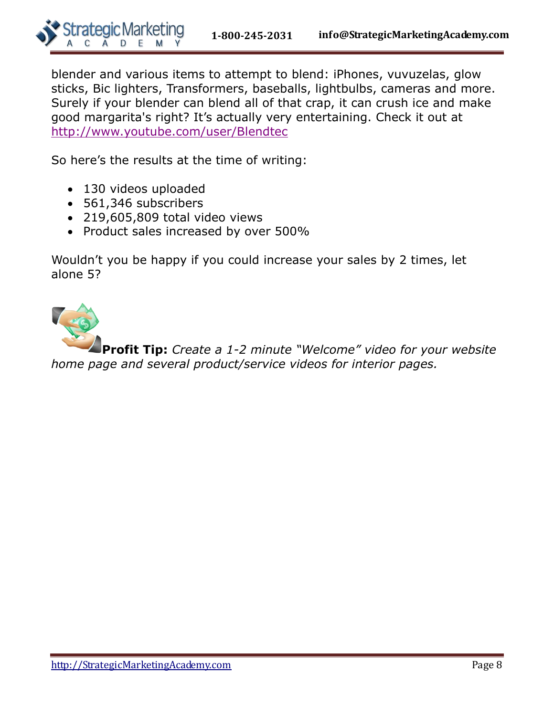

blender and various items to attempt to blend: iPhones, vuvuzelas, glow sticks, Bic lighters, Transformers, baseballs, lightbulbs, cameras and more. Surely if your blender can blend all of that crap, it can crush ice and make good margarita's right? It's actually very entertaining. Check it out at <http://www.youtube.com/user/Blendtec>

So here's the results at the time of writing:

- 130 videos uploaded
- 561,346 subscribers
- 219,605,809 total video views
- Product sales increased by over 500%

Wouldn't you be happy if you could increase your sales by 2 times, let alone 5?

**Profit Tip:** *Create a 1-2 minute "Welcome" video for your website home page and several product/service videos for interior pages.*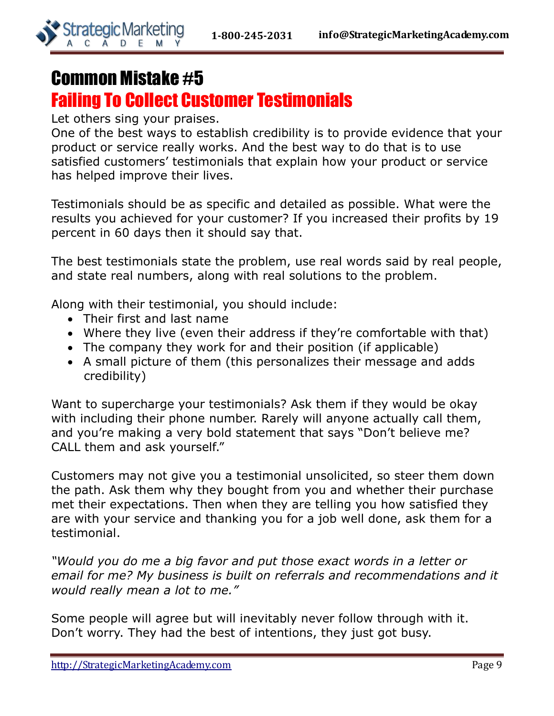

### Common Mistake #5 Failing To Collect Customer Testimonials

Let others sing your praises.

One of the best ways to establish credibility is to provide evidence that your product or service really works. And the best way to do that is to use satisfied customers' testimonials that explain how your product or service has helped improve their lives.

Testimonials should be as specific and detailed as possible. What were the results you achieved for your customer? If you increased their profits by 19 percent in 60 days then it should say that.

The best testimonials state the problem, use real words said by real people, and state real numbers, along with real solutions to the problem.

Along with their testimonial, you should include:

- Their first and last name
- Where they live (even their address if they're comfortable with that)
- The company they work for and their position (if applicable)
- A small picture of them (this personalizes their message and adds credibility)

Want to supercharge your testimonials? Ask them if they would be okay with including their phone number. Rarely will anyone actually call them, and you're making a very bold statement that says "Don't believe me? CALL them and ask yourself."

Customers may not give you a testimonial unsolicited, so steer them down the path. Ask them why they bought from you and whether their purchase met their expectations. Then when they are telling you how satisfied they are with your service and thanking you for a job well done, ask them for a testimonial.

*"Would you do me a big favor and put those exact words in a letter or email for me? My business is built on referrals and recommendations and it would really mean a lot to me."*

Some people will agree but will inevitably never follow through with it. Don't worry. They had the best of intentions, they just got busy.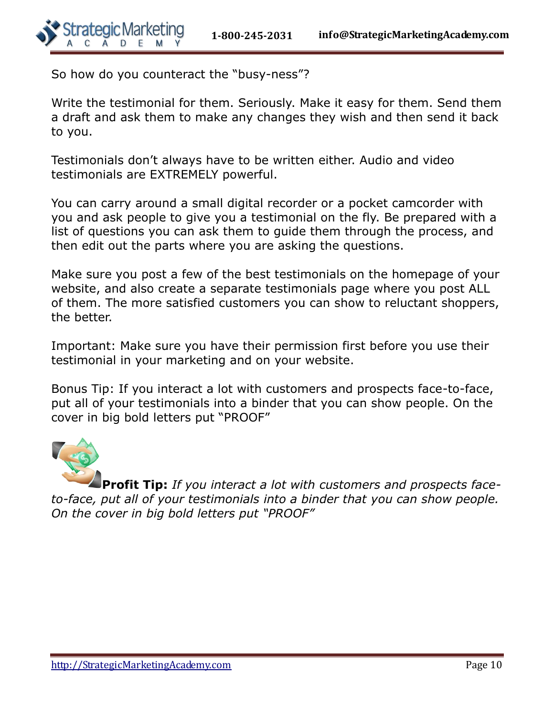So how do you counteract the "busy-ness"?

Write the testimonial for them. Seriously. Make it easy for them. Send them a draft and ask them to make any changes they wish and then send it back to you.

Testimonials don't always have to be written either. Audio and video testimonials are EXTREMELY powerful.

You can carry around a small digital recorder or a pocket camcorder with you and ask people to give you a testimonial on the fly. Be prepared with a list of questions you can ask them to guide them through the process, and then edit out the parts where you are asking the questions.

Make sure you post a few of the best testimonials on the homepage of your website, and also create a separate testimonials page where you post ALL of them. The more satisfied customers you can show to reluctant shoppers, the better.

Important: Make sure you have their permission first before you use their testimonial in your marketing and on your website.

Bonus Tip: If you interact a lot with customers and prospects face-to-face, put all of your testimonials into a binder that you can show people. On the cover in big bold letters put "PROOF"



**Profit Tip:** *If you interact a lot with customers and prospects faceto-face, put all of your testimonials into a binder that you can show people. On the cover in big bold letters put "PROOF"*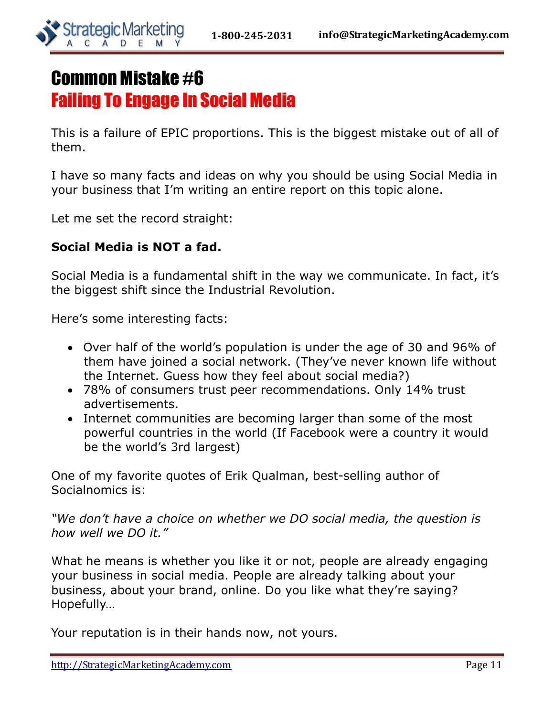

## Common Mistake #6 Failing To Engage In Social Media

This is a failure of EPIC proportions. This is the biggest mistake out of all of them.

I have so many facts and ideas on why you should be using Social Media in your business that I'm writing an entire report on this topic alone.

Let me set the record straight:

#### **Social Media is NOT a fad.**

Social Media is a fundamental shift in the way we communicate. In fact, it's the biggest shift since the Industrial Revolution.

Here's some interesting facts:

- Over half of the world's population is under the age of 30 and 96% of them have joined a social network. (They've never known life without the Internet. Guess how they feel about social media?)
- 78% of consumers trust peer recommendations. Only 14% trust advertisements.
- Internet communities are becoming larger than some of the most powerful countries in the world (If Facebook were a country it would be the world's 3rd largest)

One of my favorite quotes of Erik Qualman, best-selling author of Socialnomics is:

*"We don't have a choice on whether we DO social media, the question is how well we DO it."*

What he means is whether you like it or not, people are already engaging your business in social media. People are already talking about your business, about your brand, online. Do you like what they're saying? Hopefully…

Your reputation is in their hands now, not yours.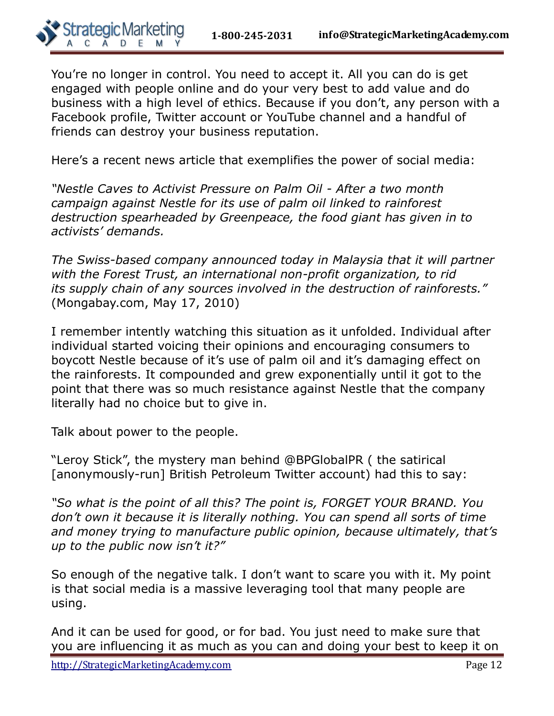You're no longer in control. You need to accept it. All you can do is get engaged with people online and do your very best to add value and do business with a high level of ethics. Because if you don't, any person with a Facebook profile, Twitter account or YouTube channel and a handful of friends can destroy your business reputation.

Here's a recent news article that exemplifies the power of social media:

*"Nestle Caves to Activist Pressure on Palm Oil - After a two month campaign against Nestle for its use of palm oil linked to rainforest destruction spearheaded by Greenpeace, the food giant has given in to activists' demands.*

*The Swiss-based company announced today in Malaysia that it will partner with the Forest Trust, an international non-profit organization, to rid its supply chain of any sources involved in the destruction of rainforests."* (Mongabay.com, May 17, 2010)

I remember intently watching this situation as it unfolded. Individual after individual started voicing their opinions and encouraging consumers to boycott Nestle because of it's use of palm oil and it's damaging effect on the rainforests. It compounded and grew exponentially until it got to the point that there was so much resistance against Nestle that the company literally had no choice but to give in.

Talk about power to the people.

"Leroy Stick", the mystery man behind @BPGlobalPR ( the satirical [anonymously-run] British Petroleum Twitter account) had this to say:

*"So what is the point of all this? The point is, FORGET YOUR BRAND. You don't own it because it is literally nothing. You can spend all sorts of time and money trying to manufacture public opinion, because ultimately, that's up to the public now isn't it?"*

So enough of the negative talk. I don't want to scare you with it. My point is that social media is a massive leveraging tool that many people are using.

And it can be used for good, or for bad. You just need to make sure that you are influencing it as much as you can and doing your best to keep it on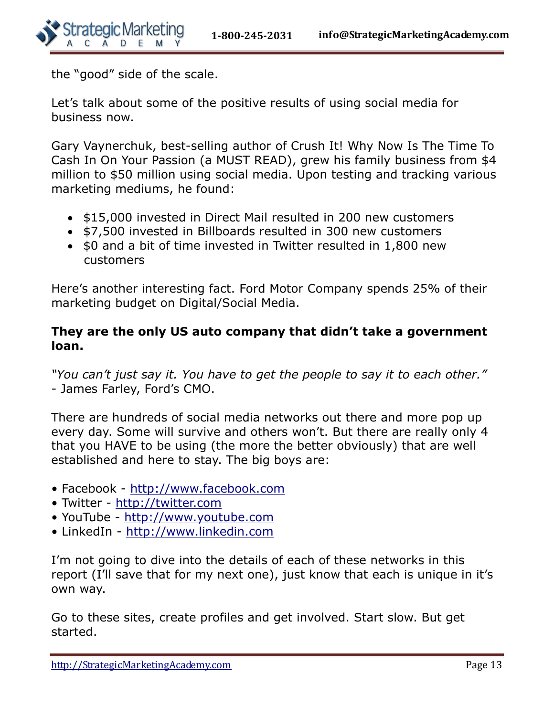the "good" side of the scale.

Let's talk about some of the positive results of using social media for business now.

Gary Vaynerchuk, best-selling author of Crush It! Why Now Is The Time To Cash In On Your Passion (a MUST READ), grew his family business from \$4 million to \$50 million using social media. Upon testing and tracking various marketing mediums, he found:

- \$15,000 invested in Direct Mail resulted in 200 new customers
- \$7,500 invested in Billboards resulted in 300 new customers
- \$0 and a bit of time invested in Twitter resulted in 1,800 new customers

Here's another interesting fact. Ford Motor Company spends 25% of their marketing budget on Digital/Social Media.

#### **They are the only US auto company that didn't take a government loan.**

*"You can't just say it. You have to get the people to say it to each other."* - James Farley, Ford's CMO.

There are hundreds of social media networks out there and more pop up every day. Some will survive and others won't. But there are really only 4 that you HAVE to be using (the more the better obviously) that are well established and here to stay. The big boys are:

- Facebook [http://www.facebook.com](http://www.facebook.com/)
- Twitter [http://twitter.com](http://twitter.com/)
- YouTube [http://www.youtube.com](http://www.youtube.com/)
- LinkedIn [http://www.linkedin.com](http://www.linkedin.com/)

I'm not going to dive into the details of each of these networks in this report (I'll save that for my next one), just know that each is unique in it's own way.

Go to these sites, create profiles and get involved. Start slow. But get started.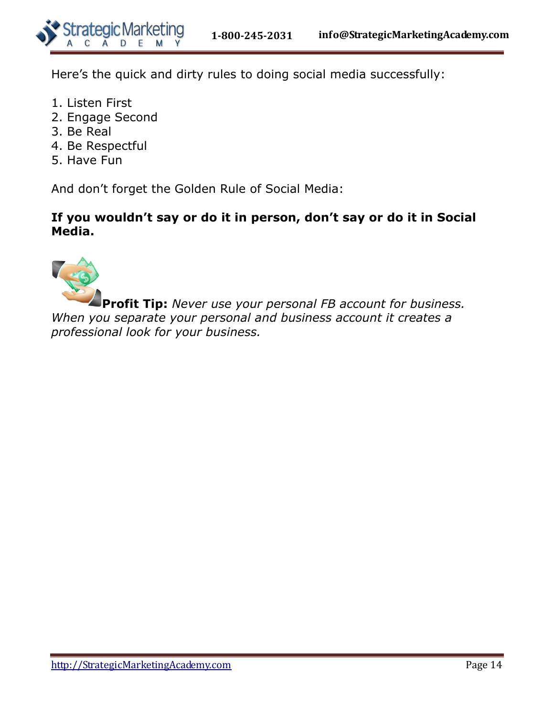

Here's the quick and dirty rules to doing social media successfully:

- 1. Listen First
- 2. Engage Second
- 3. Be Real
- 4. Be Respectful
- 5. Have Fun

And don't forget the Golden Rule of Social Media:

#### **If you wouldn't say or do it in person, don't say or do it in Social Media.**



**Profit Tip:** *Never use your personal FB account for business. When you separate your personal and business account it creates a professional look for your business.*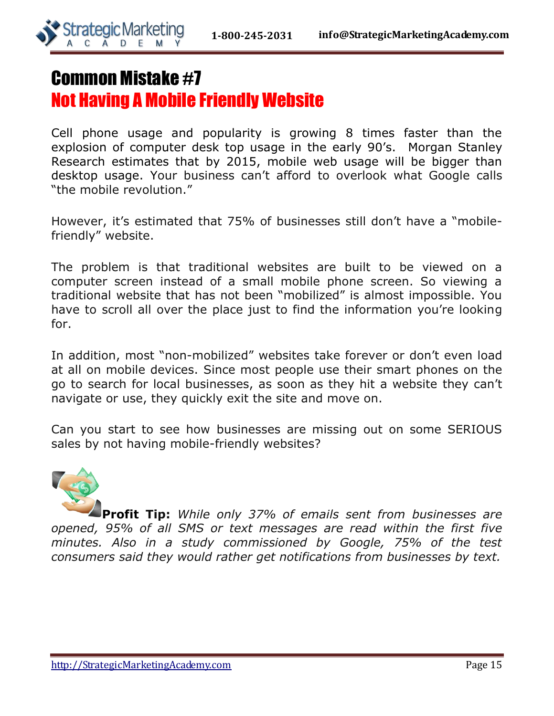

## Common Mistake #7 Not Having A Mobile Friendly Website

Cell phone usage and popularity is growing 8 times faster than the explosion of computer desk top usage in the early 90's. Morgan Stanley Research estimates that by 2015, mobile web usage will be bigger than desktop usage. Your business can't afford to overlook what Google calls "the mobile revolution."

However, it's estimated that 75% of businesses still don't have a "mobilefriendly" website.

The problem is that traditional websites are built to be viewed on a computer screen instead of a small mobile phone screen. So viewing a traditional website that has not been "mobilized" is almost impossible. You have to scroll all over the place just to find the information you're looking for.

In addition, most "non-mobilized" websites take forever or don't even load at all on mobile devices. Since most people use their smart phones on the go to search for local businesses, as soon as they hit a website they can't navigate or use, they quickly exit the site and move on.

Can you start to see how businesses are missing out on some SERIOUS sales by not having mobile-friendly websites?



**Profit Tip:** *While only 37% of emails sent from businesses are opened, 95% of all SMS or text messages are read within the first five minutes. Also in a study commissioned by Google, 75% of the test consumers said they would rather get notifications from businesses by text.*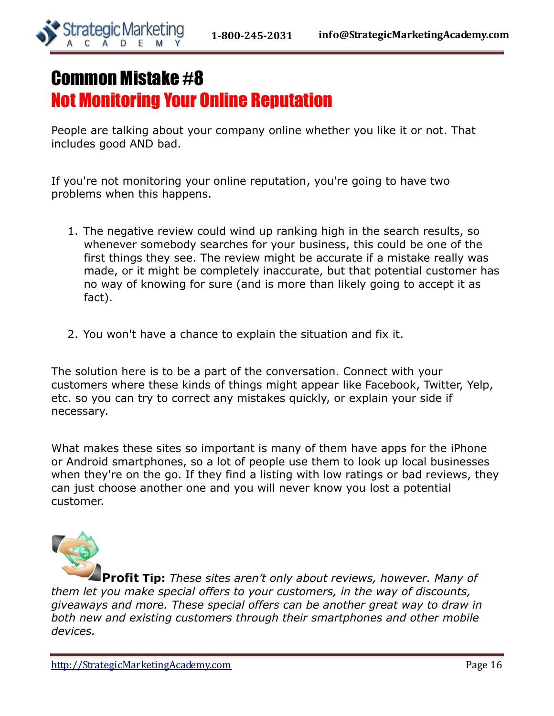

## Common Mistake #8 Not Monitoring Your Online Reputation

People are talking about your company online whether you like it or not. That includes good AND bad.

If you're not monitoring your online reputation, you're going to have two problems when this happens.

- 1. The negative review could wind up ranking high in the search results, so whenever somebody searches for your business, this could be one of the first things they see. The review might be accurate if a mistake really was made, or it might be completely inaccurate, but that potential customer has no way of knowing for sure (and is more than likely going to accept it as fact).
- 2. You won't have a chance to explain the situation and fix it.

The solution here is to be a part of the conversation. Connect with your customers where these kinds of things might appear like Facebook, Twitter, Yelp, etc. so you can try to correct any mistakes quickly, or explain your side if necessary.

What makes these sites so important is many of them have apps for the iPhone or Android smartphones, so a lot of people use them to look up local businesses when they're on the go. If they find a listing with low ratings or bad reviews, they can just choose another one and you will never know you lost a potential customer.



**Profit Tip:** *These sites aren't only about reviews, however. Many of them let you make special offers to your customers, in the way of discounts, giveaways and more. These special offers can be another great way to draw in both new and existing customers through their smartphones and other mobile devices.*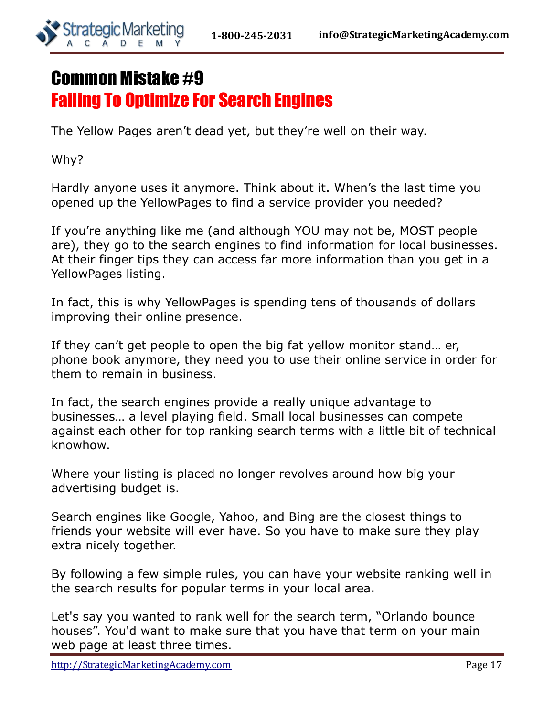

## Common Mistake #9 Failing To Optimize For Search Engines

The Yellow Pages aren't dead yet, but they're well on their way.

Why?

Hardly anyone uses it anymore. Think about it. When's the last time you opened up the YellowPages to find a service provider you needed?

If you're anything like me (and although YOU may not be, MOST people are), they go to the search engines to find information for local businesses. At their finger tips they can access far more information than you get in a YellowPages listing.

In fact, this is why YellowPages is spending tens of thousands of dollars improving their online presence.

If they can't get people to open the big fat yellow monitor stand… er, phone book anymore, they need you to use their online service in order for them to remain in business.

In fact, the search engines provide a really unique advantage to businesses… a level playing field. Small local businesses can compete against each other for top ranking search terms with a little bit of technical knowhow.

Where your listing is placed no longer revolves around how big your advertising budget is.

Search engines like Google, Yahoo, and Bing are the closest things to friends your website will ever have. So you have to make sure they play extra nicely together.

By following a few simple rules, you can have your website ranking well in the search results for popular terms in your local area.

Let's say you wanted to rank well for the search term, "Orlando bounce houses". You'd want to make sure that you have that term on your main web page at least three times.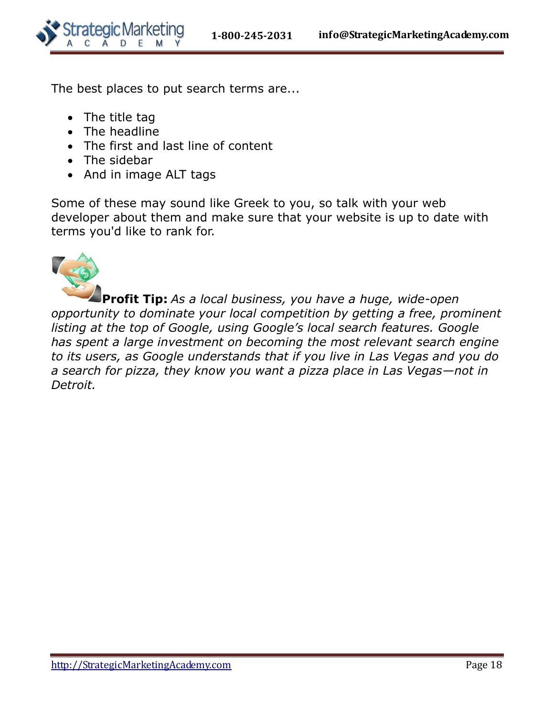

The best places to put search terms are...

- The title tag
- The headline
- The first and last line of content
- The sidebar
- And in image ALT tags

Some of these may sound like Greek to you, so talk with your web developer about them and make sure that your website is up to date with terms you'd like to rank for.



**Profit Tip:** *As a local business, you have a huge, wide-open opportunity to dominate your local competition by getting a free, prominent listing at the top of Google, using Google's local search features. Google has spent a large investment on becoming the most relevant search engine to its users, as Google understands that if you live in Las Vegas and you do a search for pizza, they know you want a pizza place in Las Vegas—not in Detroit.*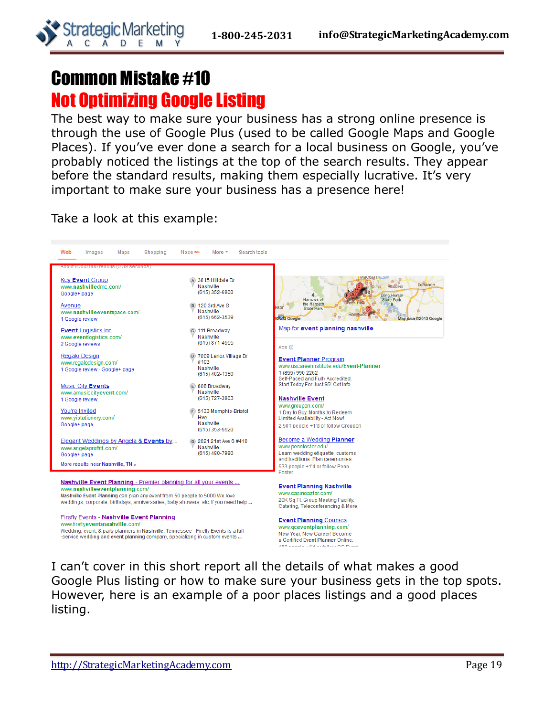## Common Mistake #10 Not Optimizing Google Listing

**Strategic Marketing** 

A D

C

The best way to make sure your business has a strong online presence is through the use of Google Plus (used to be called Google Maps and Google Places). If you've ever done a search for a local business on Google, you've probably noticed the listings at the top of the search results. They appear before the standard results, making them especially lucrative. It's very important to make sure your business has a presence here!

Take a look at this example:



I can't cover in this short report all the details of what makes a good Google Plus listing or how to make sure your business gets in the top spots. However, here is an example of a poor places listings and a good places listing.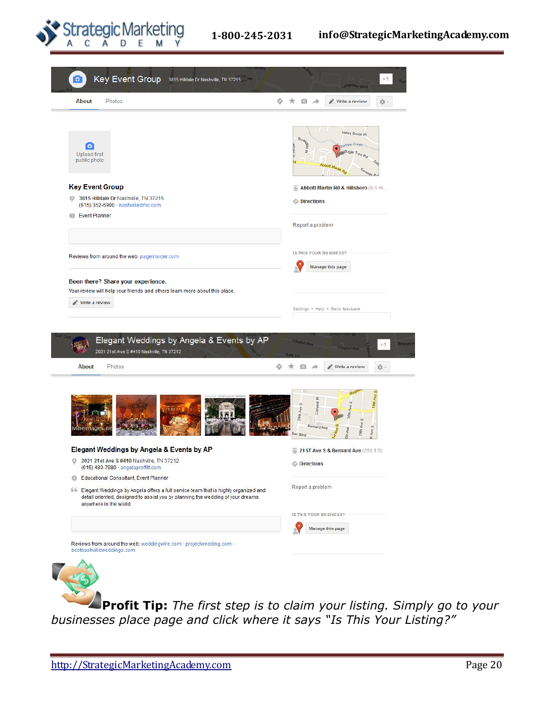

| <b>About</b><br>Photos                                                                                                                  | ★ 回 ★<br>☆ -<br>Write a review                                                                            |
|-----------------------------------------------------------------------------------------------------------------------------------------|-----------------------------------------------------------------------------------------------------------|
| ြ<br><b>Upload first</b><br>public photo                                                                                                | Valley Brook Pl<br>Burling<br>Aree Creat<br>$\overline{y}$<br>Abbott Martin &<br><b>Tenvay Rd</b>         |
| <b>Key Event Group</b>                                                                                                                  | Abbott Martin Rd & Hillsboro (0.6 m                                                                       |
| 3815 Hilldale Dr Nashville, TN 37215<br>o<br>(615) 352-6900 · nashvilledmc.com                                                          | <b>Directions</b>                                                                                         |
| ⊕<br><b>Event Planner</b>                                                                                                               | Report a problem                                                                                          |
| Reviews from around the web: pageinsider.com                                                                                            | IS THIS YOUR BUSINESS?                                                                                    |
|                                                                                                                                         | <b>Manage this page</b>                                                                                   |
|                                                                                                                                         |                                                                                                           |
| Elegant Weddings by Angela & Events by AP<br>2021 21st Ave S #410 Nashville, TN 37212                                                   | Clayton Ave<br>$+1$<br><b>Clayton Ave</b>                                                                 |
| Photos<br>About                                                                                                                         | 日本<br>$\mathcal{R}$<br>Write a review<br>☆ -                                                              |
| emaae                                                                                                                                   | Mag<br>18th Ave<br>ã<br>$\omega$<br>24th Ave<br>š<br>19th Ave<br>Bernard Ave<br>Ave S<br>Ave<br>lair Blvd |
|                                                                                                                                         | 21ST Ave S & Bernard Ave (250 ft S)                                                                       |
| 2021 21st Ave S #410 Nashville, TN 37212<br>(615) 480-7980 · angelaproffitt.com                                                         | <b>O</b> Directions                                                                                       |
| o<br>Educational Consultant, Event Planner<br>$^{\circ}$                                                                                |                                                                                                           |
| detail oriented, designed to assist you by planning the wedding of your dreams<br>anywhere in the world.                                | Report a problem                                                                                          |
| Elegant Weddings by Angela & Events by AP<br>lifical Elegant Weddings by Angela offers a full service team that is highly organized and | IS THIS YOUR BUSINESS?                                                                                    |
|                                                                                                                                         | Manage this page                                                                                          |

**Profit Tip:** *The first step is to claim your listing. Simply go to your businesses place page and click where it says "Is This Your Listing?"*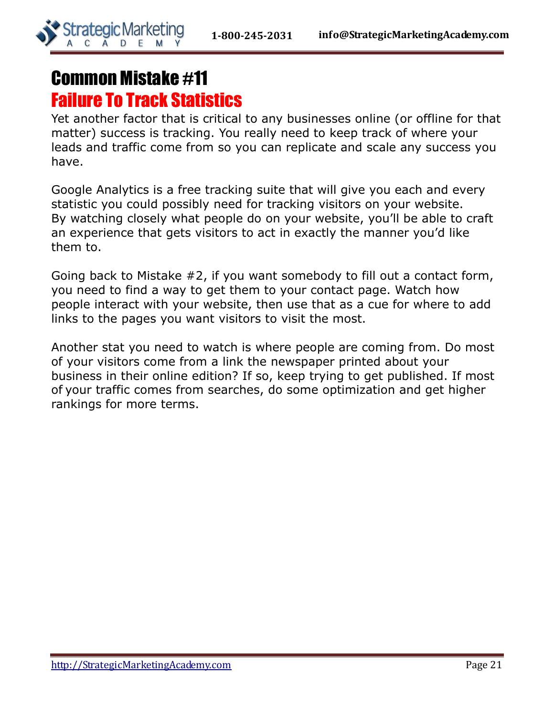

## Common Mistake #11 Failure To Track Statistics

Yet another factor that is critical to any businesses online (or offline for that matter) success is tracking. You really need to keep track of where your leads and traffic come from so you can replicate and scale any success you have.

Google Analytics is a free tracking suite that will give you each and every statistic you could possibly need for tracking visitors on your website. By watching closely what people do on your website, you'll be able to craft an experience that gets visitors to act in exactly the manner you'd like them to.

Going back to Mistake #2, if you want somebody to fill out a contact form, you need to find a way to get them to your contact page. Watch how people interact with your website, then use that as a cue for where to add links to the pages you want visitors to visit the most.

Another stat you need to watch is where people are coming from. Do most of your visitors come from a link the newspaper printed about your business in their online edition? If so, keep trying to get published. If most of your traffic comes from searches, do some optimization and get higher rankings for more terms.